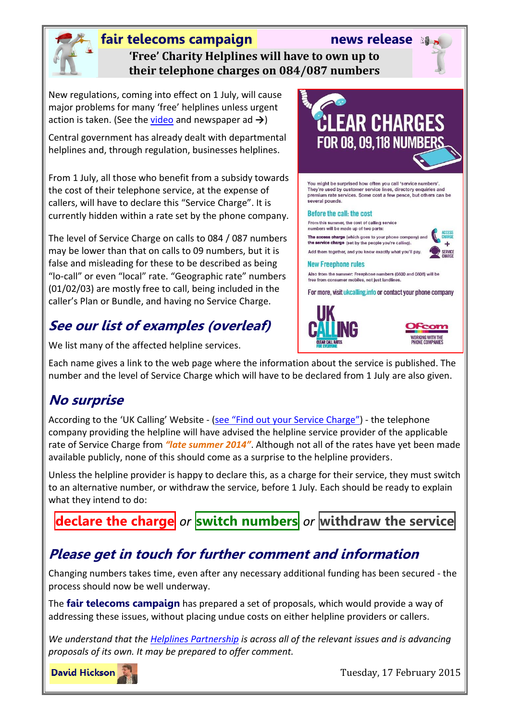

#### **fair telecoms campaign news release 'Free' Charity Helplines will have to own up to their telephone charges on 084/087 numbers**

New regulations, coming into effect on 1 July, will cause major problems for many 'free' helplines unless urgent action is taken. (See the [video](https://www.youtube.com/watch?v=WwGk7_G9hsc) and newspaper ad **→**)

Central government has already dealt with departmental helplines and, through regulation, businesses helplines.

From 1 July, all those who benefit from a subsidy towards the cost of their telephone service, at the expense of callers, will have to declare this "Service Charge". It is currently hidden within a rate set by the phone company.

The level of Service Charge on calls to 084 / 087 numbers may be lower than that on calls to 09 numbers, but it is false and misleading for these to be described as being "lo-call" or even "local" rate. "Geographic rate" numbers (01/02/03) are mostly free to call, being included in the caller's Plan or Bundle, and having no Service Charge.

## **See our list of examples (overleaf)**

We list many of the affected helpline services.



You might be surprised how often you call 'service numbers' They're used by customer service lines, directory enquiries and<br>premium rate services. Some cost a few pence, but others can be several pounds.

#### Before the call: the cost

From this summer, the cost of calling service numbers will be made up of two parts:

The access charge (which goes to your phone company) and the service charge (set by the people you're calling). Add them together, and you know exactly what you'll pay

A.

#### **New Freephone rules**

Also from the summer: Freephone numbers (0800 and 0808) will be free from consumer mobiles, not just landlines

For more, visit ukcalling.info or contact your phone company





Each name gives a link to the web page where the information about the service is published. The number and the level of Service Charge which will have to be declared from 1 July are also given.

### **No surprise**

According to the 'UK Calling' Website - (see "[Find out your Service Charge](http://www.ukcalling.info/industry/service-provider-check-list)") - the telephone company providing the helpline will have advised the helpline service provider of the applicable rate of Service Charge from *"late summer 2014"*. Although not all of the rates have yet been made available publicly, none of this should come as a surprise to the helpline providers.

Unless the helpline provider is happy to declare this, as a charge for their service, they must switch to an alternative number, or withdraw the service, before 1 July. Each should be ready to explain what they intend to do:

**declare the charge** *or* **switch numbers** *or* **withdraw the service**

### **Please get in touch for further comment and information**

Changing numbers takes time, even after any necessary additional funding has been secured - the process should now be well underway.

The **fair telecoms campaign** has prepared a set of proposals, which would provide a way of addressing these issues, without placing undue costs on either helpline providers or callers.

*We understand that the [Helplines Partnership](https://helplines.org/) is across all of the relevant issues and is advancing proposals of its own. It may be prepared to offer comment.*

**David Hickson** 

Tuesday, 17 February 2015